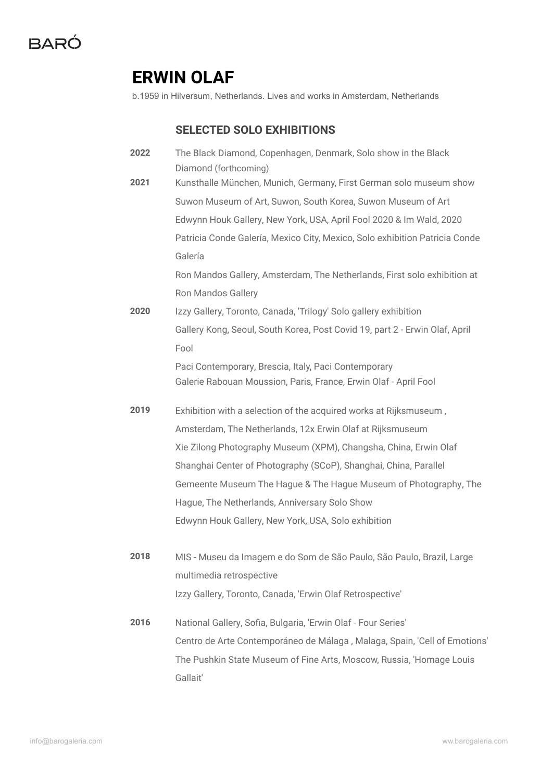### **ERWIN OLAF**

Gallait'

b.1959 in Hilversum, Netherlands. Lives and works in Amsterdam, Netherlands

### **SELECTED SOLO EXHIBITIONS**

| 2022 | The Black Diamond, Copenhagen, Denmark, Solo show in the Black                              |
|------|---------------------------------------------------------------------------------------------|
| 2021 | Diamond (forthcoming)<br>Kunsthalle München, Munich, Germany, First German solo museum show |
|      |                                                                                             |
|      | Suwon Museum of Art, Suwon, South Korea, Suwon Museum of Art                                |
|      | Edwynn Houk Gallery, New York, USA, April Fool 2020 & Im Wald, 2020                         |
|      | Patricia Conde Galería, Mexico City, Mexico, Solo exhibition Patricia Conde                 |
|      | Galería                                                                                     |
|      | Ron Mandos Gallery, Amsterdam, The Netherlands, First solo exhibition at                    |
|      | Ron Mandos Gallery                                                                          |
| 2020 | Izzy Gallery, Toronto, Canada, 'Trilogy' Solo gallery exhibition                            |
|      | Gallery Kong, Seoul, South Korea, Post Covid 19, part 2 - Erwin Olaf, April                 |
|      | Fool                                                                                        |
|      | Paci Contemporary, Brescia, Italy, Paci Contemporary                                        |
|      | Galerie Rabouan Moussion, Paris, France, Erwin Olaf - April Fool                            |
| 2019 | Exhibition with a selection of the acquired works at Rijksmuseum,                           |
|      | Amsterdam, The Netherlands, 12x Erwin Olaf at Rijksmuseum                                   |
|      | Xie Zilong Photography Museum (XPM), Changsha, China, Erwin Olaf                            |
|      | Shanghai Center of Photography (SCoP), Shanghai, China, Parallel                            |
|      | Gemeente Museum The Hague & The Hague Museum of Photography, The                            |
|      | Hague, The Netherlands, Anniversary Solo Show                                               |
|      | Edwynn Houk Gallery, New York, USA, Solo exhibition                                         |
| 2018 | MIS - Museu da Imagem e do Som de São Paulo, São Paulo, Brazil, Large                       |
|      | multimedia retrospective                                                                    |
|      |                                                                                             |
|      | Izzy Gallery, Toronto, Canada, 'Erwin Olaf Retrospective'                                   |
| 2016 | National Gallery, Sofia, Bulgaria, 'Erwin Olaf - Four Series'                               |
|      | Centro de Arte Contemporáneo de Málaga, Malaga, Spain, 'Cell of Emotions'                   |
|      | The Pushkin State Museum of Fine Arts, Moscow, Russia, 'Homage Louis                        |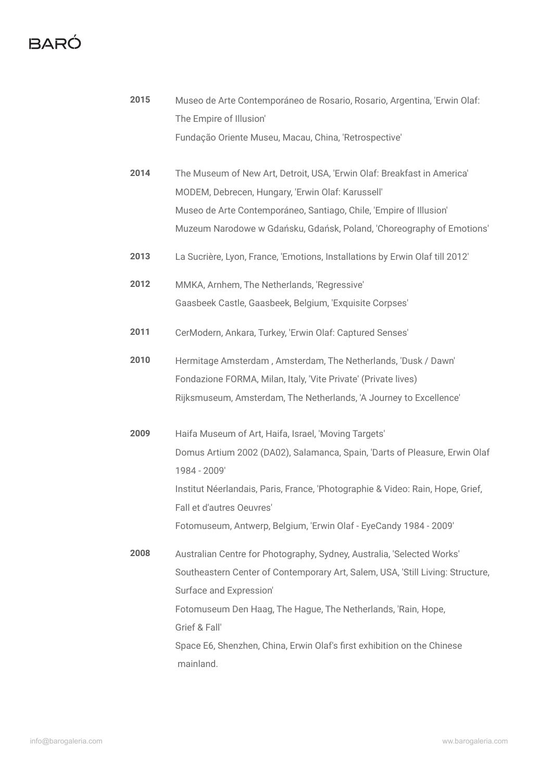## **BARÓ**

| 2015 | Museo de Arte Contemporáneo de Rosario, Rosario, Argentina, 'Erwin Olaf:                                    |
|------|-------------------------------------------------------------------------------------------------------------|
|      | The Empire of Illusion'                                                                                     |
|      | Fundação Oriente Museu, Macau, China, 'Retrospective'                                                       |
| 2014 | The Museum of New Art, Detroit, USA, 'Erwin Olaf: Breakfast in America'                                     |
|      | MODEM, Debrecen, Hungary, 'Erwin Olaf: Karussell'                                                           |
|      | Museo de Arte Contemporáneo, Santiago, Chile, 'Empire of Illusion'                                          |
|      | Muzeum Narodowe w Gdańsku, Gdańsk, Poland, 'Choreography of Emotions'                                       |
| 2013 | La Sucrière, Lyon, France, 'Emotions, Installations by Erwin Olaf till 2012'                                |
| 2012 | MMKA, Arnhem, The Netherlands, 'Regressive'                                                                 |
|      | Gaasbeek Castle, Gaasbeek, Belgium, 'Exquisite Corpses'                                                     |
| 2011 | CerModern, Ankara, Turkey, 'Erwin Olaf: Captured Senses'                                                    |
| 2010 | Hermitage Amsterdam, Amsterdam, The Netherlands, 'Dusk / Dawn'                                              |
|      | Fondazione FORMA, Milan, Italy, 'Vite Private' (Private lives)                                              |
|      | Rijksmuseum, Amsterdam, The Netherlands, 'A Journey to Excellence'                                          |
| 2009 | Haifa Museum of Art, Haifa, Israel, 'Moving Targets'                                                        |
|      | Domus Artium 2002 (DA02), Salamanca, Spain, 'Darts of Pleasure, Erwin Olaf<br>1984 - 2009'                  |
|      | Institut Néerlandais, Paris, France, 'Photographie & Video: Rain, Hope, Grief,<br>Fall et d'autres Oeuvres' |
|      | Fotomuseum, Antwerp, Belgium, 'Erwin Olaf - EyeCandy 1984 - 2009'                                           |
| 2008 | Australian Centre for Photography, Sydney, Australia, 'Selected Works'                                      |
|      | Southeastern Center of Contemporary Art, Salem, USA, 'Still Living: Structure,                              |
|      | Surface and Expression'                                                                                     |
|      | Fotomuseum Den Haag, The Hague, The Netherlands, 'Rain, Hope,                                               |
|      | Grief & Fall'                                                                                               |
|      | Space E6, Shenzhen, China, Erwin Olaf's first exhibition on the Chinese                                     |
|      | mainland.                                                                                                   |
|      |                                                                                                             |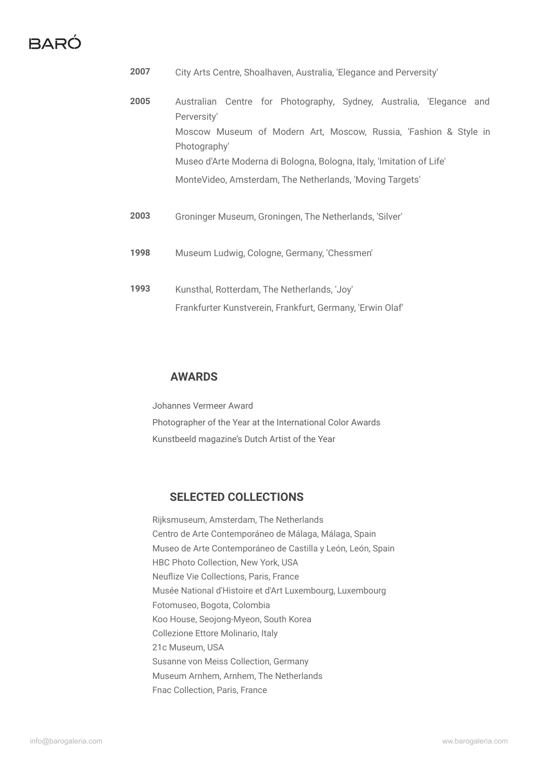## BARÓ

| 2007 | City Arts Centre, Shoalhaven, Australia, 'Elegance and Perversity'                                                                                                                                                                                                                                        |
|------|-----------------------------------------------------------------------------------------------------------------------------------------------------------------------------------------------------------------------------------------------------------------------------------------------------------|
| 2005 | Australian Centre for Photography, Sydney, Australia, Elegance and<br>Perversity'<br>Moscow Museum of Modern Art, Moscow, Russia, 'Fashion & Style in<br>Photography'<br>Museo d'Arte Moderna di Bologna, Bologna, Italy, 'Imitation of Life'<br>MonteVideo, Amsterdam, The Netherlands, 'Moving Targets' |
| 2003 | Groninger Museum, Groningen, The Netherlands, 'Silver'                                                                                                                                                                                                                                                    |
| 1998 | Museum Ludwig, Cologne, Germany, 'Chessmen'                                                                                                                                                                                                                                                               |
| 1993 | Kunsthal, Rotterdam, The Netherlands, 'Joy'<br>Frankfurter Kunstverein, Frankfurt, Germany, 'Erwin Olaf'                                                                                                                                                                                                  |

#### **AWARDS**

Johannes Vermeer Award Photographer of the Year at the International Color Awards Kunstbeeld magazine's Dutch Artist of the Year

#### **SELECTED COLLECTIONS**

Rijksmuseum, Amsterdam, The Netherlands Centro de Arte Contemporáneo de Málaga, Málaga, Spain Museo de Arte Contemporáneo de Castilla y León, León, Spain HBC Photo Collection, New York, USA Neuflize Vie Collections, Paris, France Musée National d'Histoire et d'Art Luxembourg, Luxembourg Fotomuseo, Bogota, Colombia Koo House, Seojong-Myeon, South Korea Collezione Ettore Molinario, Italy 21c Museum, USA Susanne von Meiss Collection, Germany Museum Arnhem, Arnhem, The Netherlands Fnac Collection, Paris, France